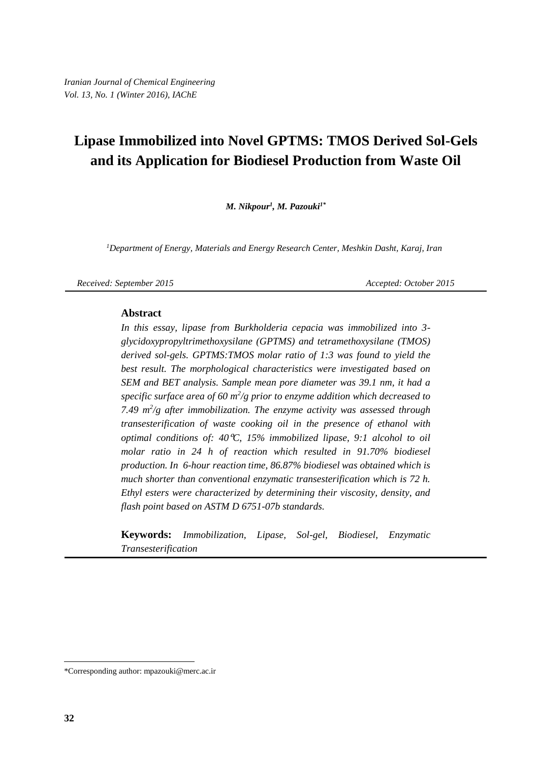*M. Nikpour<sup>1</sup> , M. Pazouki1\**

<sup>1</sup>Department of Energy, Materials and Energy Research Center, Meshkin Dasht, Karaj, Iran

*Received: September 2015 Accepted: October 2015* 

#### **Abstract**

*In this essay, lipase from Burkholderia cepacia was immobilized into 3 glycidoxypropyltrimethoxysilane (GPTMS) and tetramethoxysilane (TMOS) derived sol-gels. GPTMS:TMOS molar ratio of 1:3 was found to yield the best result. The morphological characteristics were investigated based on SEM and BET analysis. Sample mean pore diameter was 39.1 nm, it had a specific surface area of 60 m<sup>2</sup> /g prior to enzyme addition which decreased to 7.49 m<sup>2</sup> /g after immobilization. The enzyme activity was assessed through transesterification of waste cooking oil in the presence of ethanol with optimal conditions of: 40*ᵒ*C, 15% immobilized lipase, 9:1 alcohol to oil molar ratio in 24 h of reaction which resulted in 91.70% biodiesel production. In 6-hour reaction time, 86.87% biodiesel was obtained which is much shorter than conventional enzymatic transesterification which is 72 h. Ethyl esters were characterized by determining their viscosity, density, and flash point based on ASTM D 6751-07b standards.*

**Keywords:** *Immobilization, Lipase, Sol-gel, Biodiesel, Enzymatic Transesterification*

 $\overline{a}$ 

<sup>\*</sup>Corresponding author: [mpazouki@merc.ac.ir](mailto:mpazouki@merc.ac.ir)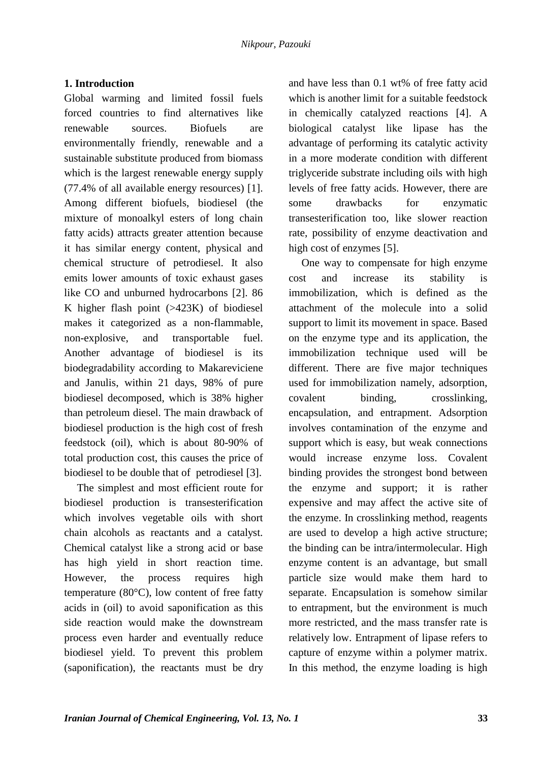# **1. Introduction**

Global warming and limited fossil fuels forced countries to find alternatives like renewable sources. Biofuels are environmentally friendly, renewable and a sustainable substitute produced from biomass which is the largest renewable energy supply (77.4% of all available energy resources) [1]. Among different biofuels, biodiesel (the mixture of monoalkyl esters of long chain fatty acids) attracts greater attention because it has similar energy content, physical and chemical structure of petrodiesel. It also emits lower amounts of toxic exhaust gases like CO and unburned hydrocarbons [2]. 86 K higher flash point (>423K) of biodiesel makes it categorized as a non-flammable, non-explosive, and transportable fuel. Another advantage of biodiesel is its biodegradability according to Makareviciene and Janulis, within 21 days, 98% of pure biodiesel decomposed, which is 38% higher than petroleum diesel. The main drawback of biodiesel production is the high cost of fresh feedstock (oil), which is about 80-90% of total production cost, this causes the price of biodiesel to be double that of petrodiesel [3].

The simplest and most efficient route for biodiesel production is transesterification which involves vegetable oils with short chain alcohols as reactants and a catalyst. Chemical catalyst like a strong acid or base has high yield in short reaction time. However, the process requires high temperature (80°C), low content of free fatty acids in (oil) to avoid saponification as this side reaction would make the downstream process even harder and eventually reduce biodiesel yield. To prevent this problem (saponification), the reactants must be dry

and have less than 0.1 wt% of free fatty acid which is another limit for a suitable feedstock in chemically catalyzed reactions [4]. A biological catalyst like lipase has the advantage of performing its catalytic activity in a more moderate condition with different triglyceride substrate including oils with high levels of free fatty acids. However, there are some drawbacks for enzymatic transesterification too, like slower reaction rate, possibility of enzyme deactivation and high cost of enzymes [5].

One way to compensate for high enzyme cost and increase its stability is immobilization, which is defined as the attachment of the molecule into a solid support to limit its movement in space. Based on the enzyme type and its application, the immobilization technique used will be different. There are five major techniques used for immobilization namely, adsorption, covalent binding, crosslinking, encapsulation, and entrapment. Adsorption involves contamination of the enzyme and support which is easy, but weak connections would increase enzyme loss. Covalent binding provides the strongest bond between the enzyme and support; it is rather expensive and may affect the active site of the enzyme. In crosslinking method, reagents are used to develop a high active structure; the binding can be intra/intermolecular. High enzyme content is an advantage, but small particle size would make them hard to separate. Encapsulation is somehow similar to entrapment, but the environment is much more restricted, and the mass transfer rate is relatively low. Entrapment of lipase refers to capture of enzyme within a polymer matrix. In this method, the enzyme loading is high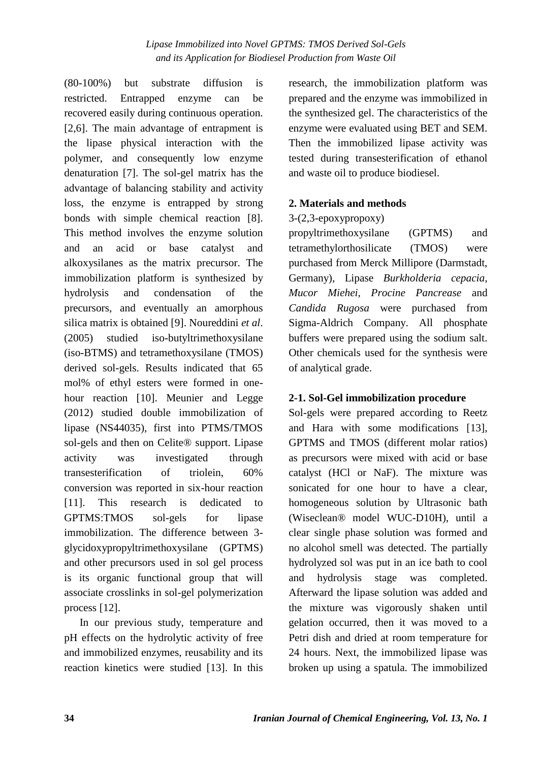(80-100%) but substrate diffusion is restricted. Entrapped enzyme can be recovered easily during continuous operation. [2,6]. The main advantage of entrapment is the lipase physical interaction with the polymer, and consequently low enzyme denaturation [7]. The sol-gel matrix has the advantage of balancing stability and activity loss, the enzyme is entrapped by strong bonds with simple chemical reaction [8]. This method involves the enzyme solution and an acid or base catalyst and alkoxysilanes as the matrix precursor. The immobilization platform is synthesized by hydrolysis and condensation of the precursors, and eventually an amorphous silica matrix is obtained [9]. Noureddini *et al*. (2005) studied iso-butyltrimethoxysilane (iso-BTMS) and tetramethoxysilane (TMOS) derived sol-gels. Results indicated that 65 mol% of ethyl esters were formed in onehour reaction [10]. Meunier and Legge (2012) studied double immobilization of lipase (NS44035), first into PTMS/TMOS sol-gels and then on Celite® support. Lipase activity was investigated through transesterification of triolein, 60% conversion was reported in six-hour reaction [11]. This research is dedicated to GPTMS:TMOS sol-gels for lipase immobilization. The difference between 3 glycidoxypropyltrimethoxysilane (GPTMS) and other precursors used in sol gel process is its organic functional group that will associate crosslinks in sol-gel polymerization process [12].

In our previous study, temperature and pH effects on the hydrolytic activity of free and immobilized enzymes, reusability and its reaction kinetics were studied [13]. In this research, the immobilization platform was prepared and the enzyme was immobilized in the synthesized gel. The characteristics of the enzyme were evaluated using BET and SEM. Then the immobilized lipase activity was tested during transesterification of ethanol and waste oil to produce biodiesel.

# **2. Materials and methods**

## 3-(2,3-epoxypropoxy)

propyltrimethoxysilane (GPTMS) and tetramethylorthosilicate (TMOS) were purchased from Merck Millipore (Darmstadt, Germany), Lipase *Burkholderia cepacia, Mucor Miehei, Procine Pancrease* and *Candida Rugosa* were purchased from Sigma-Aldrich Company. All phosphate buffers were prepared using the sodium salt. Other chemicals used for the synthesis were of analytical grade.

# **2-1. Sol-Gel immobilization procedure**

Sol-gels were prepared according to Reetz and Hara with some modifications [13], GPTMS and TMOS (different molar ratios) as precursors were mixed with acid or base catalyst (HCl or NaF). The mixture was sonicated for one hour to have a clear, homogeneous solution by Ultrasonic bath (Wiseclean® model WUC-D10H), until a clear single phase solution was formed and no alcohol smell was detected. The partially hydrolyzed sol was put in an ice bath to cool and hydrolysis stage was completed. Afterward the lipase solution was added and the mixture was vigorously shaken until gelation occurred, then it was moved to a Petri dish and dried at room temperature for 24 hours. Next, the immobilized lipase was broken up using a spatula. The immobilized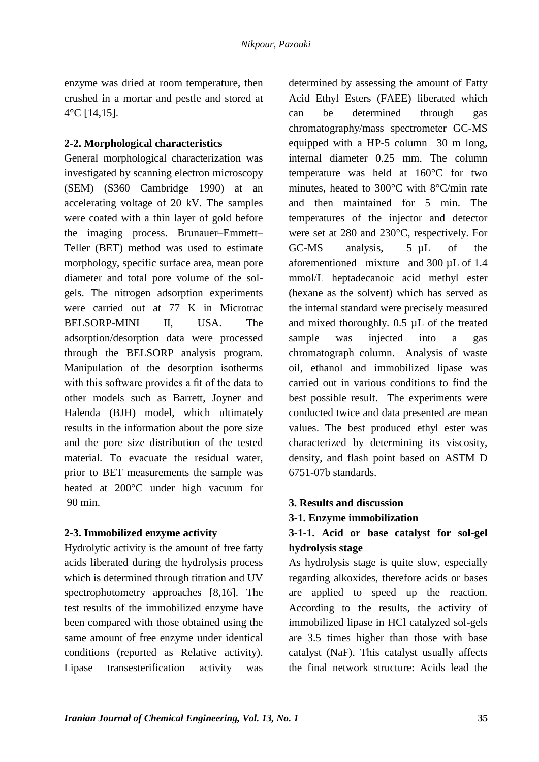enzyme was dried at room temperature, then crushed in a mortar and pestle and stored at 4°C [14,15].

## **2-2. Morphological characteristics**

General morphological characterization was investigated by scanning electron microscopy (SEM) (S360 Cambridge 1990) at an accelerating voltage of 20 kV. The samples were coated with a thin layer of gold before the imaging process. Brunauer–Emmett– Teller (BET) method was used to estimate morphology, specific surface area, mean pore diameter and total pore volume of the solgels. The nitrogen adsorption experiments were carried out at 77 K in Microtrac BELSORP-MINI II, USA. The adsorption/desorption data were processed through the BELSORP analysis program. Manipulation of the desorption isotherms with this software provides a fit of the data to other models such as Barrett, Joyner and Halenda (BJH) model, which ultimately results in the information about the pore size and the pore size distribution of the tested material. To evacuate the residual water, prior to BET measurements the sample was heated at 200°C under high vacuum for 90 min.

# **2-3. Immobilized enzyme activity**

Hydrolytic activity is the amount of free fatty acids liberated during the hydrolysis process which is determined through titration and UV spectrophotometry approaches [8,16]. The test results of the immobilized enzyme have been compared with those obtained using the same amount of free enzyme under identical conditions (reported as Relative activity). Lipase transesterification activity was

determined by assessing the amount of Fatty Acid Ethyl Esters (FAEE) liberated which can be determined through gas chromatography/mass spectrometer GC-MS equipped with a HP-5 column 30 m long, internal diameter 0.25 mm. The column temperature was held at 160°C for two minutes, heated to 300°C with 8°C/min rate and then maintained for 5 min. The temperatures of the injector and detector were set at 280 and 230°C, respectively. For GC-MS analysis, 5 µL of the aforementioned mixture and 300 µL of 1.4 mmol/L heptadecanoic acid methyl ester (hexane as the solvent) which has served as the internal standard were precisely measured and mixed thoroughly. 0.5 µL of the treated sample was injected into a gas chromatograph column. Analysis of waste oil, ethanol and immobilized lipase was carried out in various conditions to find the best possible result. The experiments were conducted twice and data presented are mean values. The best produced ethyl ester was characterized by determining its viscosity, density, and flash point based on ASTM D 6751-07b standards.

# **3. Results and discussion**

## **3-1. Enzyme immobilization**

# **3-1-1. Acid or base catalyst for sol-gel hydrolysis stage**

As hydrolysis stage is quite slow, especially regarding alkoxides, therefore acids or bases are applied to speed up the reaction. According to the results, the activity of immobilized lipase in HCl catalyzed sol-gels are 3.5 times higher than those with base catalyst (NaF). This catalyst usually affects the final network structure: Acids lead the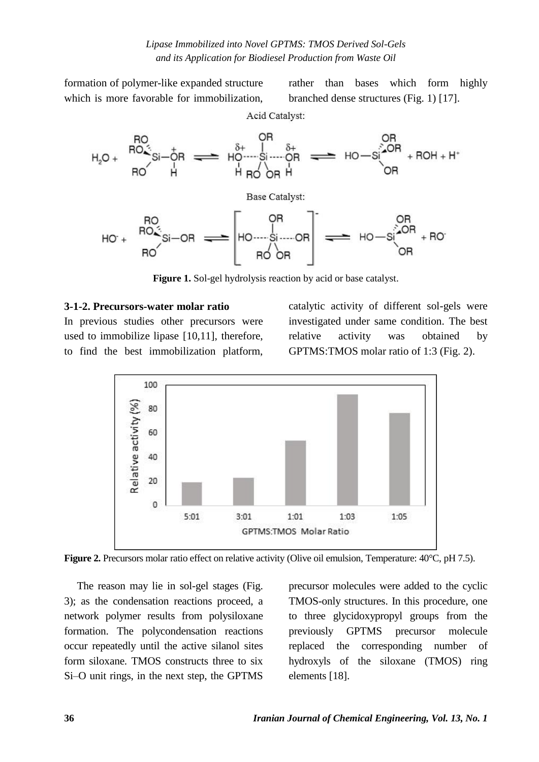formation of polymer-like expanded structure which is more favorable for immobilization,

rather than bases which form highly branched dense structures (Fig. 1) [17].

Acid Catalyst:



**Figure 1.** Sol-gel hydrolysis reaction by acid or base catalyst.

#### **3-1-2. Precursors-water molar ratio**

In previous studies other precursors were used to immobilize lipase [10,11], therefore, to find the best immobilization platform,

catalytic activity of different sol-gels were investigated under same condition. The best relative activity was obtained by GPTMS:TMOS molar ratio of 1:3 (Fig. 2).



**Figure 2.** Precursors molar ratio effect on relative activity (Olive oil emulsion, Temperature: 40°C, pH 7.5).

The reason may lie in sol-gel stages (Fig. 3); as the condensation reactions proceed, a network polymer results from polysiloxane formation. The polycondensation reactions occur repeatedly until the active silanol sites form siloxane. TMOS constructs three to six Si–O unit rings, in the next step, the GPTMS

precursor molecules were added to the cyclic TMOS-only structures. In this procedure, one to three glycidoxypropyl groups from the previously GPTMS precursor molecule replaced the corresponding number of hydroxyls of the siloxane (TMOS) ring elements [18].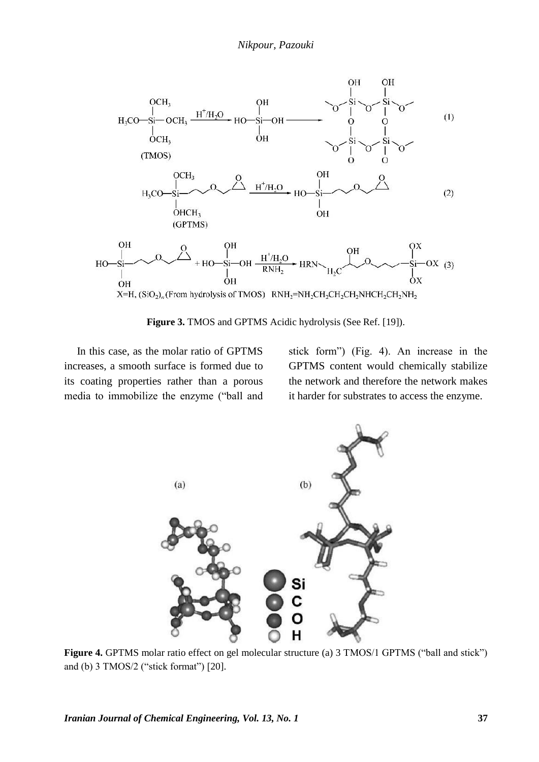

**Figure 3.** TMOS and GPTMS Acidic hydrolysis (See Ref. [19]).

In this case, as the molar ratio of GPTMS increases, a smooth surface is formed due to its coating properties rather than a porous media to immobilize the enzyme ("ball and

stick form") (Fig. 4). An increase in the GPTMS content would chemically stabilize the network and therefore the network makes it harder for substrates to access the enzyme.



**Figure 4.** GPTMS molar ratio effect on gel molecular structure (a) 3 TMOS/1 GPTMS ("ball and stick") and (b) 3 TMOS/2 ("stick format") [20].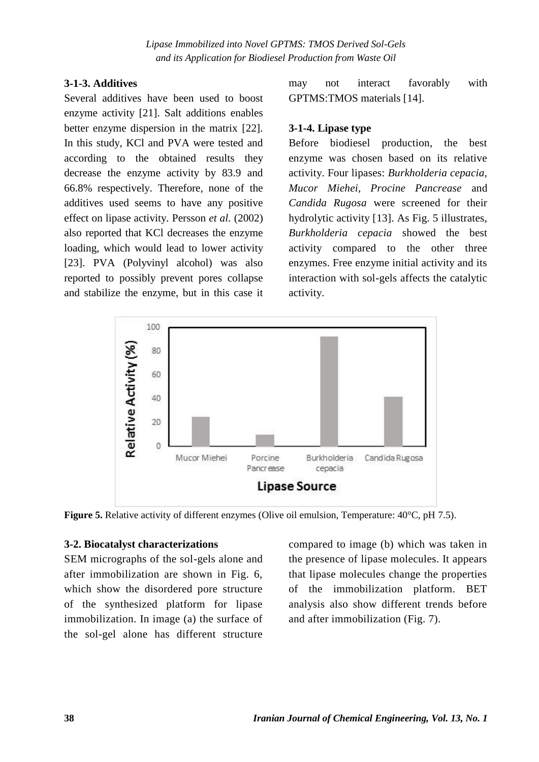#### **3-1-3. Additives**

Several additives have been used to boost enzyme activity [21]. Salt additions enables better enzyme dispersion in the matrix [22]. In this study, KCl and PVA were tested and according to the obtained results they decrease the enzyme activity by 83.9 and 66.8% respectively. Therefore, none of the additives used seems to have any positive effect on lipase activity. Persson *et al.* (2002) also reported that KCl decreases the enzyme loading, which would lead to lower activity [23]. PVA (Polyvinyl alcohol) was also reported to possibly prevent pores collapse and stabilize the enzyme, but in this case it

may not interact favorably with GPTMS:TMOS materials [14].

#### **3-1-4. Lipase type**

Before biodiesel production, the best enzyme was chosen based on its relative activity. Four lipases: *Burkholderia cepacia, Mucor Miehei, Procine Pancrease* and *Candida Rugosa* were screened for their hydrolytic activity [13]. As Fig. 5 illustrates, *Burkholderia cepacia* showed the best activity compared to the other three enzymes. Free enzyme initial activity and its interaction with sol-gels affects the catalytic activity.



**Figure 5.** Relative activity of different enzymes (Olive oil emulsion, Temperature: 40°C, pH 7.5).

#### **3-2. Biocatalyst characterizations**

SEM micrographs of the sol-gels alone and after immobilization are shown in Fig. 6, which show the disordered pore structure of the synthesized platform for lipase immobilization. In image (a) the surface of the sol-gel alone has different structure

compared to image (b) which was taken in the presence of lipase molecules. It appears that lipase molecules change the properties of the immobilization platform. BET analysis also show different trends before and after immobilization (Fig. 7).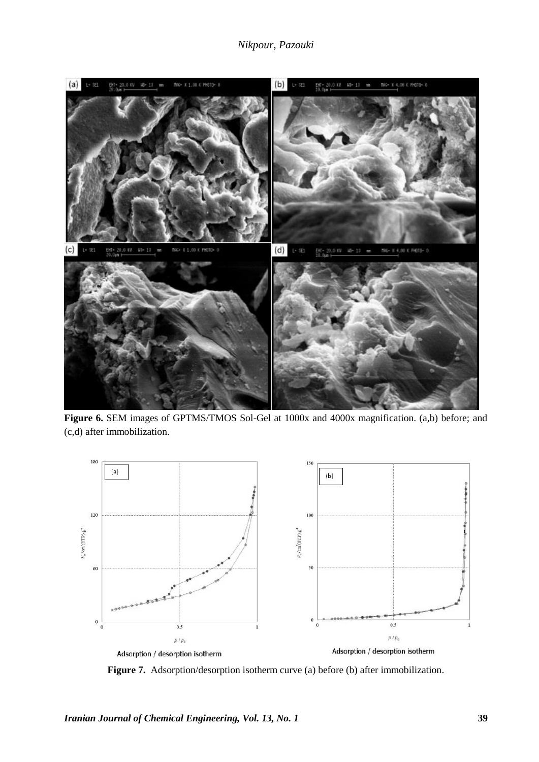## *Nikpour, Pazouki*



**Figure 6.** SEM images of GPTMS/TMOS Sol-Gel at 1000x and 4000x magnification. (a,b) before; and (c,d) after immobilization.



**Figure 7.** Adsorption/desorption isotherm curve (a) before (b) after immobilization.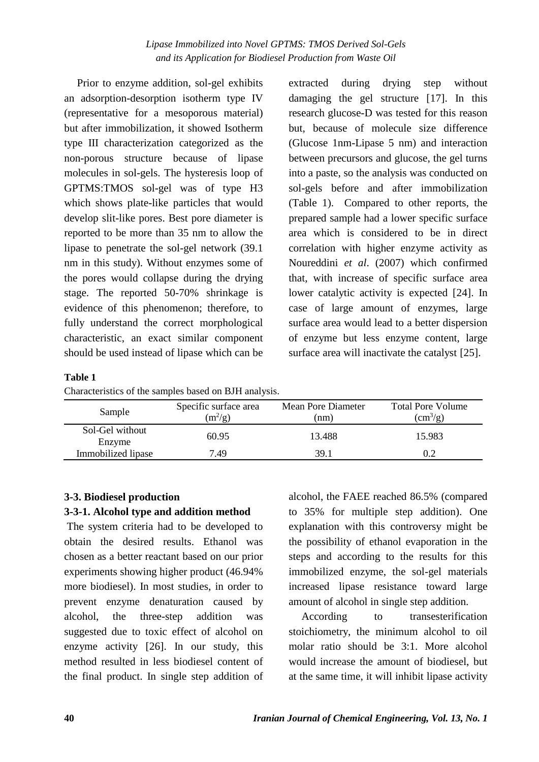Prior to enzyme addition, sol-gel exhibits an adsorption-desorption isotherm type IV (representative for a mesoporous material) but after immobilization, it showed Isotherm type III characterization categorized as the non-porous structure because of lipase molecules in sol-gels. The hysteresis loop of GPTMS:TMOS sol-gel was of type H3 which shows plate-like particles that would develop slit-like pores. Best pore diameter is reported to be more than 35 nm to allow the lipase to penetrate the sol-gel network (39.1 nm in this study). Without enzymes some of the pores would collapse during the drying stage. The reported 50-70% shrinkage is evidence of this phenomenon; therefore, to fully understand the correct morphological characteristic, an exact similar component should be used instead of lipase which can be

extracted during drying step without damaging the gel structure [17]. In this research glucose-D was tested for this reason but, because of molecule size difference (Glucose 1nm-Lipase 5 nm) and interaction between precursors and glucose, the gel turns into a paste, so the analysis was conducted on sol-gels before and after immobilization (Table 1). Compared to other reports, the prepared sample had a lower specific surface area which is considered to be in direct correlation with higher enzyme activity as Noureddini *et al*. (2007) which confirmed that, with increase of specific surface area lower catalytic activity is expected [24]. In case of large amount of enzymes, large surface area would lead to a better dispersion of enzyme but less enzyme content, large surface area will inactivate the catalyst [25].

## **Table 1**

Characteristics of the samples based on BJH analysis.

| Sample                    | Specific surface area<br>$(m^2/g)$ | Mean Pore Diameter<br>(nm) | <b>Total Pore Volume</b><br>$\rm (cm^3/g)$ |  |  |
|---------------------------|------------------------------------|----------------------------|--------------------------------------------|--|--|
| Sol-Gel without<br>Enzyme | 60.95                              | 13.488                     | 15.983                                     |  |  |
| Immobilized lipase        | 7.49                               | 39.1                       |                                            |  |  |

# **3-3. Biodiesel production**

# **3-3-1. Alcohol type and addition method**

The system criteria had to be developed to obtain the desired results. Ethanol was chosen as a better reactant based on our prior experiments showing higher product (46.94% more biodiesel). In most studies, in order to prevent enzyme denaturation caused by alcohol, the three-step addition was suggested due to toxic effect of alcohol on enzyme activity [26]. In our study, this method resulted in less biodiesel content of the final product. In single step addition of alcohol, the FAEE reached 86.5% (compared to 35% for multiple step addition). One explanation with this controversy might be the possibility of ethanol evaporation in the steps and according to the results for this immobilized enzyme, the sol-gel materials increased lipase resistance toward large amount of alcohol in single step addition.

According to transesterification stoichiometry, the minimum alcohol to oil molar ratio should be 3:1. More alcohol would increase the amount of biodiesel, but at the same time, it will inhibit lipase activity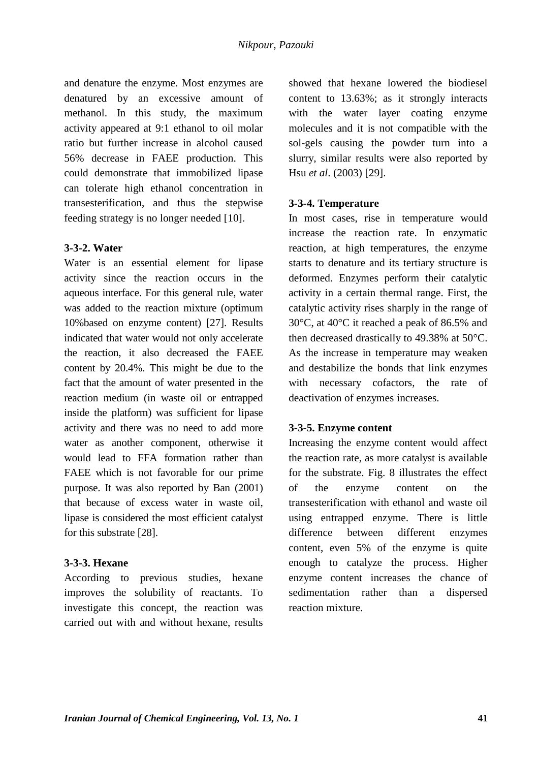and denature the enzyme. Most enzymes are denatured by an excessive amount of methanol. In this study, the maximum activity appeared at 9:1 ethanol to oil molar ratio but further increase in alcohol caused 56% decrease in FAEE production. This could demonstrate that immobilized lipase can tolerate high ethanol concentration in transesterification, and thus the stepwise feeding strategy is no longer needed [10].

## **3-3-2. Water**

Water is an essential element for lipase activity since the reaction occurs in the aqueous interface. For this general rule, water was added to the reaction mixture (optimum 10%based on enzyme content) [27]. Results indicated that water would not only accelerate the reaction, it also decreased the FAEE content by 20.4%. This might be due to the fact that the amount of water presented in the reaction medium (in waste oil or entrapped inside the platform) was sufficient for lipase activity and there was no need to add more water as another component, otherwise it would lead to FFA formation rather than FAEE which is not favorable for our prime purpose. It was also reported by Ban (2001) that because of excess water in waste oil, lipase is considered the most efficient catalyst for this substrate [28].

## **3-3-3. Hexane**

According to previous studies, hexane improves the solubility of reactants. To investigate this concept, the reaction was carried out with and without hexane, results

showed that hexane lowered the biodiesel content to 13.63%; as it strongly interacts with the water layer coating enzyme molecules and it is not compatible with the sol-gels causing the powder turn into a slurry, similar results were also reported by Hsu *et al*. (2003) [29].

## **3-3-4. Temperature**

In most cases, rise in temperature would increase the reaction rate. In enzymatic reaction, at high temperatures, the enzyme starts to denature and its tertiary structure is deformed. Enzymes perform their catalytic activity in a certain thermal range. First, the catalytic activity rises sharply in the range of 30°C, at 40°C it reached a peak of 86.5% and then decreased drastically to 49.38% at 50°C. As the increase in temperature may weaken and destabilize the bonds that link enzymes with necessary cofactors, the rate of deactivation of enzymes increases.

## **3-3-5. Enzyme content**

Increasing the enzyme content would affect the reaction rate, as more catalyst is available for the substrate. Fig. 8 illustrates the effect of the enzyme content on the transesterification with ethanol and waste oil using entrapped enzyme. There is little difference between different enzymes content, even 5% of the enzyme is quite enough to catalyze the process. Higher enzyme content increases the chance of sedimentation rather than a dispersed reaction mixture.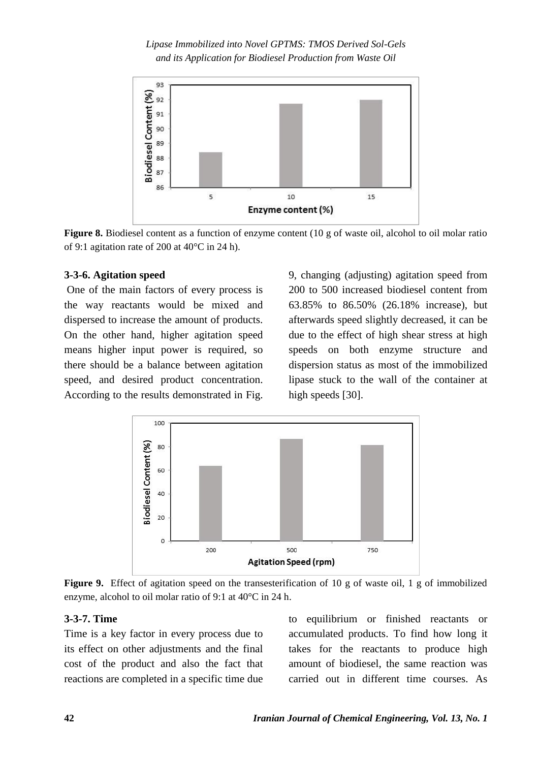

**Figure 8.** Biodiesel content as a function of enzyme content (10 g of waste oil, alcohol to oil molar ratio of 9:1 agitation rate of 200 at 40°C in 24 h).

#### **3-3-6. Agitation speed**

One of the main factors of every process is the way reactants would be mixed and dispersed to increase the amount of products. On the other hand, higher agitation speed means higher input power is required, so there should be a balance between agitation speed, and desired product concentration. According to the results demonstrated in Fig.

9, changing (adjusting) agitation speed from 200 to 500 increased biodiesel content from 63.85% to 86.50% (26.18% increase), but afterwards speed slightly decreased, it can be due to the effect of high shear stress at high speeds on both enzyme structure and dispersion status as most of the immobilized lipase stuck to the wall of the container at high speeds [30].



**Figure 9.** Effect of agitation speed on the transesterification of 10 g of waste oil, 1 g of immobilized enzyme, alcohol to oil molar ratio of 9:1 at 40°C in 24 h.

## **3-3-7. Time**

Time is a key factor in every process due to its effect on other adjustments and the final cost of the product and also the fact that reactions are completed in a specific time due to equilibrium or finished reactants or accumulated products. To find how long it takes for the reactants to produce high amount of biodiesel, the same reaction was carried out in different time courses. As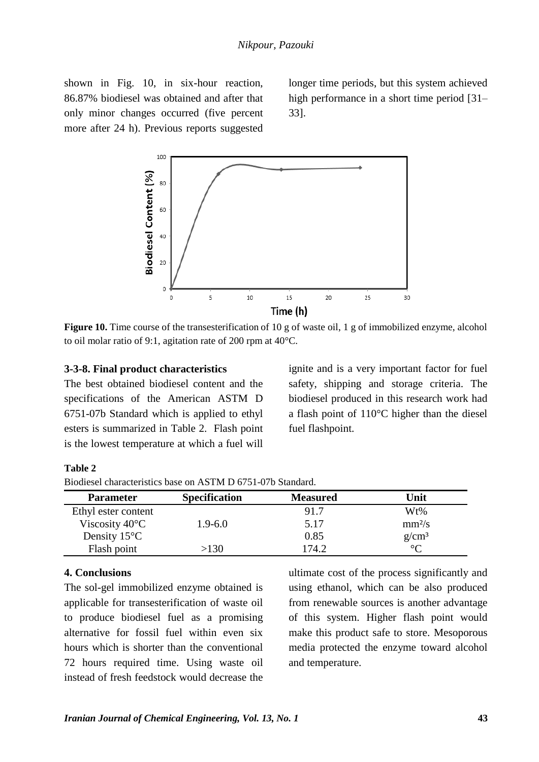shown in Fig. 10, in six-hour reaction, 86.87% biodiesel was obtained and after that only minor changes occurred (five percent more after 24 h). Previous reports suggested

longer time periods, but this system achieved high performance in a short time period [31– 33].



**Figure 10.** Time course of the transesterification of 10 g of waste oil, 1 g of immobilized enzyme, alcohol to oil molar ratio of 9:1, agitation rate of 200 rpm at 40°C.

#### **3-3-8. Final product characteristics**

The best obtained biodiesel content and the specifications of the American ASTM D 6751-07b Standard which is applied to ethyl esters is summarized in Table 2. Flash point is the lowest temperature at which a fuel will ignite and is a very important factor for fuel safety, shipping and storage criteria. The biodiesel produced in this research work had a flash point of 110°C higher than the diesel fuel flashpoint.

| ın<br>Π<br>н |  |
|--------------|--|
|--------------|--|

| Biodiesel characteristics base on ASTM D 6751-07b Standard. |  |  |
|-------------------------------------------------------------|--|--|
|-------------------------------------------------------------|--|--|

| <b>Parameter</b>         | <b>Specification</b> | <b>Measured</b> | Unit     |
|--------------------------|----------------------|-----------------|----------|
| Ethyl ester content      |                      | 91.7            | Wt%      |
| Viscosity $40^{\circ}$ C | 1.9-6.0              | 5.17            | $mm^2/s$ |
| Density $15^{\circ}$ C   |                      | 0.85            | $g/cm^3$ |
| Flash point              | >130                 | 174.2           | $\circ$  |

## **4. Conclusions**

The sol-gel immobilized enzyme obtained is applicable for transesterification of waste oil to produce biodiesel fuel as a promising alternative for fossil fuel within even six hours which is shorter than the conventional 72 hours required time. Using waste oil instead of fresh feedstock would decrease the

ultimate cost of the process significantly and using ethanol, which can be also produced from renewable sources is another advantage of this system. Higher flash point would make this product safe to store. Mesoporous media protected the enzyme toward alcohol and temperature.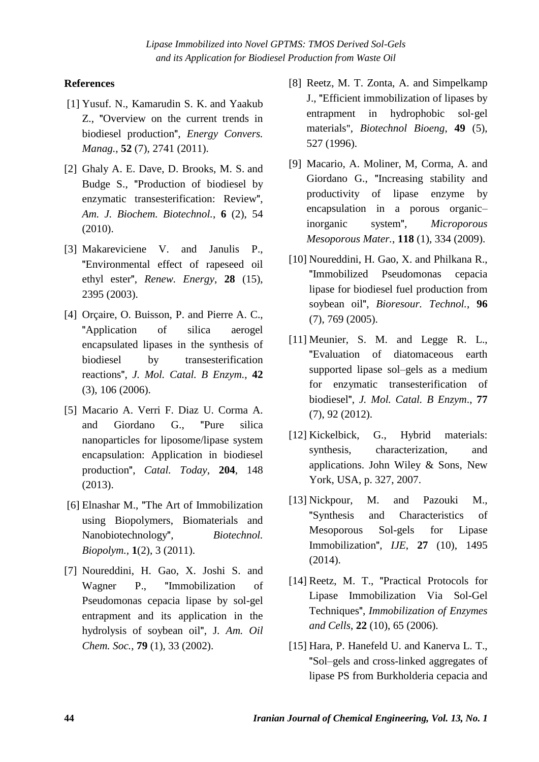# **References**

- [1] Yusuf. N., Kamarudin S. K. and Yaakub Z., "Overview on the current trends in biodiesel production", *Energy Convers. Manag.*, **52** (7), 2741 (2011).
- [2] Ghaly A. E. Dave, D. Brooks, M. S. and Budge S., "Production of biodiesel by enzymatic transesterification: Review", *Am. J. Biochem. Biotechnol.*, **6** (2), 54 (2010).
- [3] Makareviciene V. and Janulis P., "Environmental effect of rapeseed oil ethyl ester", *Renew. Energy*, **28** (15), 2395 (2003).
- [4] Orçaire, O. Buisson, P. and Pierre A. C., "Application of silica aerogel encapsulated lipases in the synthesis of biodiesel by transesterification reactions", *J. Mol. Catal. B Enzym.*, **42** (3), 106 (2006).
- [5] Macario A. Verri F. Diaz U. Corma A. and Giordano G., "Pure silica nanoparticles for liposome/lipase system encapsulation: Application in biodiesel production", *Catal. Today*, **204**, 148 (2013).
- [6] Elnashar M., "The Art of Immobilization using Biopolymers, Biomaterials and Nanobiotechnology", *Biotechnol. Biopolym.,* **1**(2), 3 (2011).
- [7] Noureddini, H. Gao, X. Joshi S. and Wagner P., "Immobilization of Pseudomonas cepacia lipase by sol-gel entrapment and its application in the hydrolysis of soybean oil", J*. Am. Oil Chem. Soc.*, **79** (1), 33 (2002).
- [8] Reetz, M. T. Zonta, A. and Simpelkamp J., "Efficient immobilization of lipases by entrapment in hydrophobic sol‐gel materials", *Biotechnol Bioeng*, **49** (5), 527 (1996).
- [9] Macario, A. Moliner, M, Corma, A. and Giordano G., "Increasing stability and productivity of lipase enzyme by encapsulation in a porous organic– inorganic system", *Microporous Mesoporous Mater.*, **118** (1), 334 (2009).
- [10] Noureddini, H. Gao, X. and Philkana R., "Immobilized Pseudomonas cepacia lipase for biodiesel fuel production from soybean oil", *Bioresour. Technol.*, **96** (7), 769 (2005).
- [11] Meunier, S. M. and Legge R. L., "Evaluation of diatomaceous earth supported lipase sol–gels as a medium for enzymatic transesterification of biodiesel", *J. Mol. Catal. B Enzym*., **77** (7), 92 (2012).
- [12] Kickelbick, G., Hybrid materials: synthesis, characterization, and applications. John Wiley & Sons, New York, USA, p. 327, 2007.
- [13] Nickpour, M. and Pazouki M., "Synthesis and Characteristics of Mesoporous Sol-gels for Lipase Immobilization", *IJE*, **27** (10), 1495 (2014).
- [14] Reetz, M. T., "Practical Protocols for Lipase Immobilization Via Sol-Gel Techniques", *Immobilization of Enzymes and Cells*, **22** (10), 65 (2006).
- [15] Hara, P. Hanefeld U. and Kanerva L. T., "Sol–gels and cross-linked aggregates of lipase PS from Burkholderia cepacia and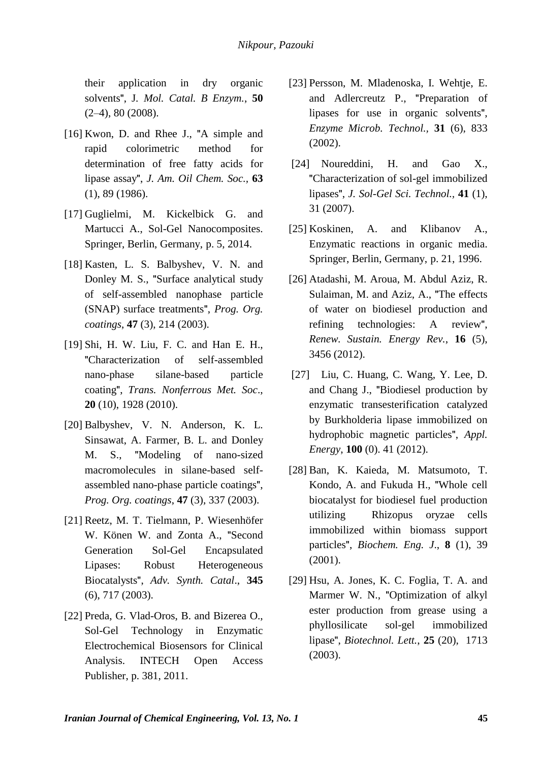their application in dry organic solvents", J*. Mol. Catal. B Enzym.*, **50** (2–4), 80 (2008).

- [16] Kwon, D. and Rhee J., "A simple and rapid colorimetric method for determination of free fatty acids for lipase assay", *J. Am. Oil Chem. Soc.,* **63** (1), 89 (1986).
- [17] Guglielmi, M. Kickelbick G. and Martucci A., Sol-Gel Nanocomposites. Springer, Berlin, Germany, p. 5, 2014.
- [18] Kasten, L. S. Balbyshev, V. N. and Donley M. S., "Surface analytical study of self-assembled nanophase particle (SNAP) surface treatments", *Prog. Org. coatings*, **47** (3), 214 (2003).
- [19] Shi, H. W. Liu, F. C. and Han E. H., "Characterization of self-assembled nano-phase silane-based particle coating", *Trans. Nonferrous Met. Soc*., **20** (10), 1928 (2010).
- [20] Balbyshev, V. N. Anderson, K. L. Sinsawat, A. Farmer, B. L. and Donley M. S., "Modeling of nano-sized macromolecules in silane-based selfassembled nano-phase particle coatings", *Prog. Org. coatings*, **47** (3), 337 (2003).
- [21] Reetz, M. T. Tielmann, P. Wiesenhöfer W. Könen W. and Zonta A., "Second Generation Sol-Gel Encapsulated Lipases: Robust Heterogeneous Biocatalysts", *Adv. Synth. Catal*., **345** (6), 717 (2003).
- [22] Preda, G. Vlad-Oros, B. and Bizerea O., Sol-Gel Technology in Enzymatic Electrochemical Biosensors for Clinical Analysis. INTECH Open Access Publisher, p. 381, 2011.
- [23] Persson, M. Mladenoska, I. Wehtje, E. and Adlercreutz P., "Preparation of lipases for use in organic solvents", *Enzyme Microb. Technol.,* **31** (6), 833 (2002).
- [24] Noureddini, H. and Gao X., "Characterization of sol-gel immobilized lipases", *J. Sol-Gel Sci. Technol.,* **41** (1), 31 (2007).
- [25] Koskinen, A. and Klibanov A., Enzymatic reactions in organic media. Springer, Berlin, Germany, p. 21, 1996.
- [26] Atadashi, M. Aroua, M. Abdul Aziz, R. Sulaiman, M. and Aziz, A., "The effects of water on biodiesel production and refining technologies: A review", *Renew. Sustain. Energy Rev.*, **16** (5), 3456 (2012).
- [27] Liu, C. Huang, C. Wang, Y. Lee, D. and Chang J., "Biodiesel production by enzymatic transesterification catalyzed by Burkholderia lipase immobilized on hydrophobic magnetic particles", *Appl. Energy*, **100** (0). 41 (2012).
- [28] Ban, K. Kaieda, M. Matsumoto, T. Kondo, A. and Fukuda H., "Whole cell biocatalyst for biodiesel fuel production utilizing Rhizopus oryzae cells immobilized within biomass support particles", *Biochem. Eng. J*., **8** (1), 39 (2001).
- [29] Hsu, A. Jones, K. C. Foglia, T. A. and Marmer W. N., "Optimization of alkyl ester production from grease using a phyllosilicate sol-gel immobilized lipase", *Biotechnol. Lett.*, **25** (20), 1713 (2003).